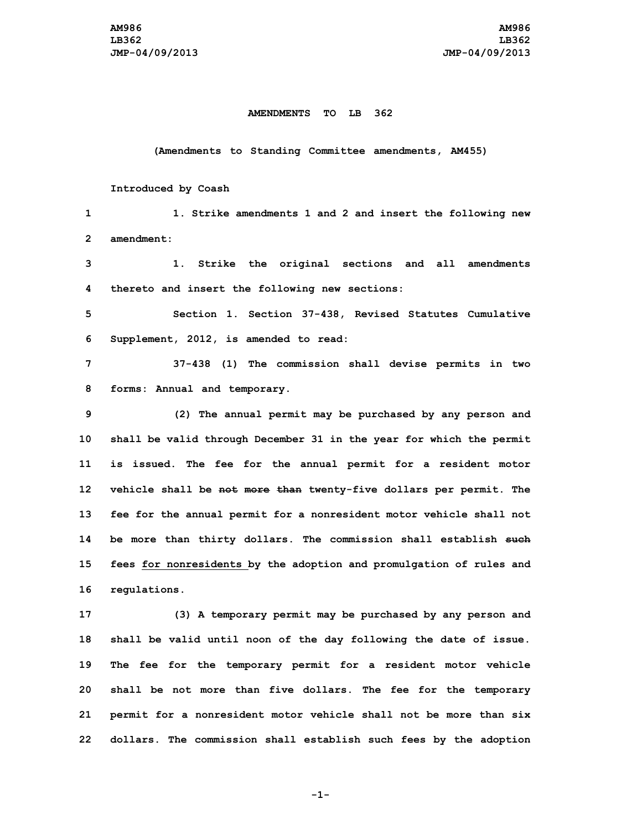## **AMENDMENTS TO LB 362**

## **(Amendments to Standing Committee amendments, AM455)**

## **Introduced by Coash**

 **1. Strike amendments 1 and 2 and insert the following new amendment: 1. Strike the original sections and all amendments thereto and insert the following new sections: Section 1. Section 37-438, Revised Statutes Cumulative Supplement, 2012, is amended to read: 37-438 (1) The commission shall devise permits in two forms: Annual and temporary. (2) The annual permit may be purchased by any person and shall be valid through December 31 in the year for which the permit is issued. The fee for the annual permit for <sup>a</sup> resident motor vehicle shall be not more than twenty-five dollars per permit. The fee for the annual permit for <sup>a</sup> nonresident motor vehicle shall not be more than thirty dollars. The commission shall establish such fees for nonresidents by the adoption and promulgation of rules and regulations. (3) <sup>A</sup> temporary permit may be purchased by any person and shall be valid until noon of the day following the date of issue.**

 **The fee for the temporary permit for <sup>a</sup> resident motor vehicle shall be not more than five dollars. The fee for the temporary permit for <sup>a</sup> nonresident motor vehicle shall not be more than six dollars. The commission shall establish such fees by the adoption**

**-1-**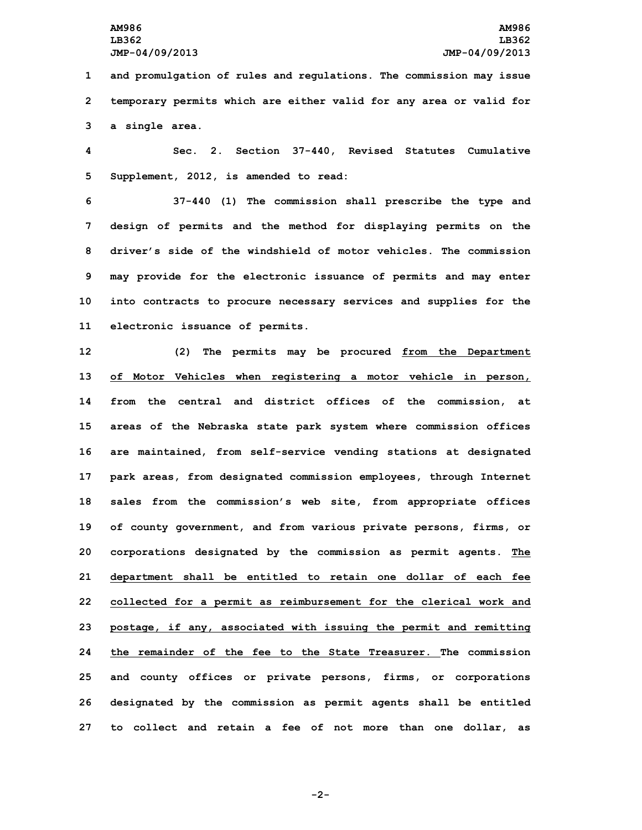**1 and promulgation of rules and regulations. The commission may issue 2 temporary permits which are either valid for any area or valid for 3 <sup>a</sup> single area.**

**4 Sec. 2. Section 37-440, Revised Statutes Cumulative 5 Supplement, 2012, is amended to read:**

 **37-440 (1) The commission shall prescribe the type and design of permits and the method for displaying permits on the driver's side of the windshield of motor vehicles. The commission may provide for the electronic issuance of permits and may enter into contracts to procure necessary services and supplies for the electronic issuance of permits.**

 **(2) The permits may be procured from the Department of Motor Vehicles when registering <sup>a</sup> motor vehicle in person, from the central and district offices of the commission, at areas of the Nebraska state park system where commission offices are maintained, from self-service vending stations at designated park areas, from designated commission employees, through Internet sales from the commission's web site, from appropriate offices of county government, and from various private persons, firms, or corporations designated by the commission as permit agents. The department shall be entitled to retain one dollar of each fee collected for <sup>a</sup> permit as reimbursement for the clerical work and postage, if any, associated with issuing the permit and remitting the remainder of the fee to the State Treasurer. The commission and county offices or private persons, firms, or corporations designated by the commission as permit agents shall be entitled to collect and retain <sup>a</sup> fee of not more than one dollar, as**

**-2-**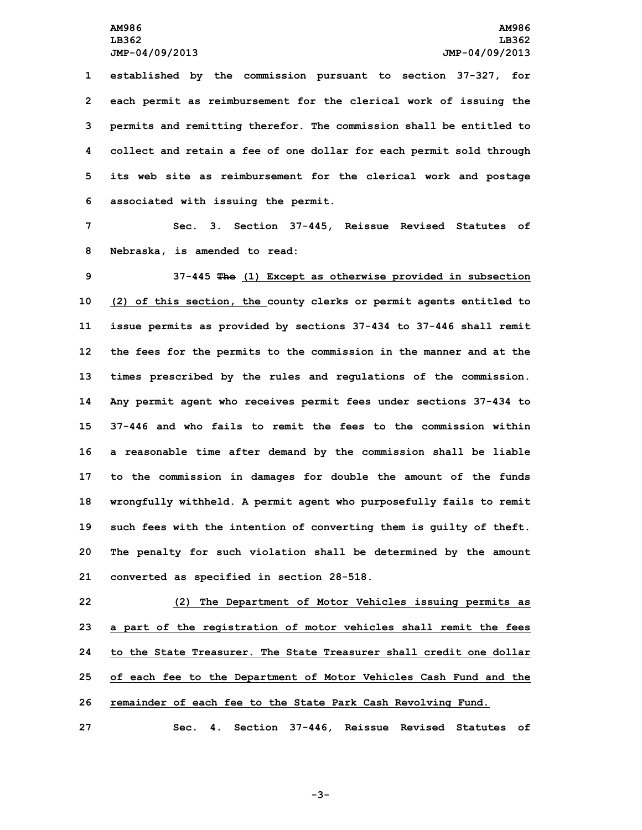**established by the commission pursuant to section 37-327, for each permit as reimbursement for the clerical work of issuing the permits and remitting therefor. The commission shall be entitled to collect and retain <sup>a</sup> fee of one dollar for each permit sold through its web site as reimbursement for the clerical work and postage associated with issuing the permit.**

**7 Sec. 3. Section 37-445, Reissue Revised Statutes of 8 Nebraska, is amended to read:**

 **37-445 The (1) Except as otherwise provided in subsection (2) of this section, the county clerks or permit agents entitled to issue permits as provided by sections 37-434 to 37-446 shall remit the fees for the permits to the commission in the manner and at the times prescribed by the rules and regulations of the commission. Any permit agent who receives permit fees under sections 37-434 to 37-446 and who fails to remit the fees to the commission within <sup>a</sup> reasonable time after demand by the commission shall be liable to the commission in damages for double the amount of the funds wrongfully withheld. <sup>A</sup> permit agent who purposefully fails to remit such fees with the intention of converting them is guilty of theft. The penalty for such violation shall be determined by the amount converted as specified in section 28-518.**

 **(2) The Department of Motor Vehicles issuing permits as <sup>a</sup> part of the registration of motor vehicles shall remit the fees to the State Treasurer. The State Treasurer shall credit one dollar of each fee to the Department of Motor Vehicles Cash Fund and the remainder of each fee to the State Park Cash Revolving Fund.**

**27 Sec. 4. Section 37-446, Reissue Revised Statutes of**

**-3-**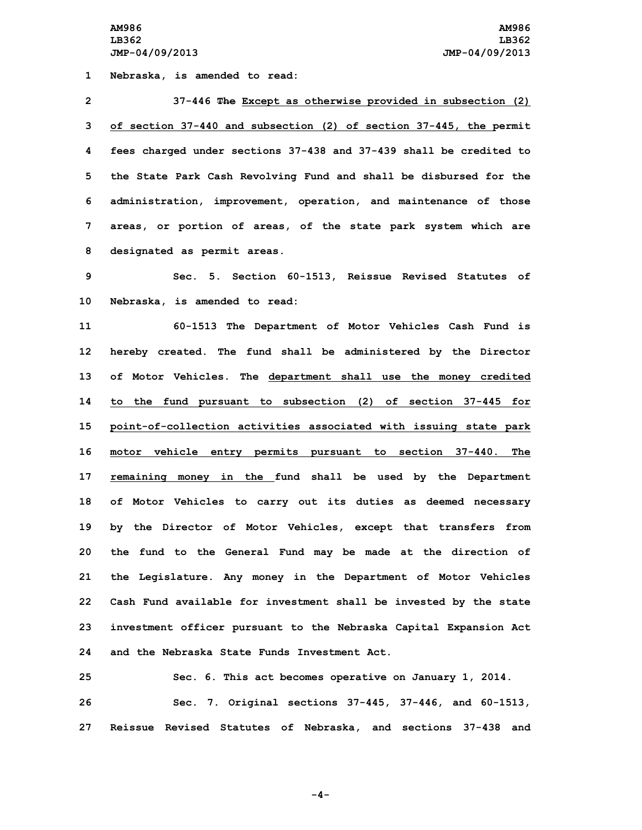**1 Nebraska, is amended to read:**

 **37-446 The Except as otherwise provided in subsection (2) of section 37-440 and subsection (2) of section 37-445, the permit fees charged under sections 37-438 and 37-439 shall be credited to the State Park Cash Revolving Fund and shall be disbursed for the administration, improvement, operation, and maintenance of those areas, or portion of areas, of the state park system which are designated as permit areas.**

**9 Sec. 5. Section 60-1513, Reissue Revised Statutes of 10 Nebraska, is amended to read:**

 **60-1513 The Department of Motor Vehicles Cash Fund is hereby created. The fund shall be administered by the Director of Motor Vehicles. The department shall use the money credited to the fund pursuant to subsection (2) of section 37-445 for point-of-collection activities associated with issuing state park motor vehicle entry permits pursuant to section 37-440. The remaining money in the fund shall be used by the Department of Motor Vehicles to carry out its duties as deemed necessary by the Director of Motor Vehicles, except that transfers from the fund to the General Fund may be made at the direction of the Legislature. Any money in the Department of Motor Vehicles Cash Fund available for investment shall be invested by the state investment officer pursuant to the Nebraska Capital Expansion Act and the Nebraska State Funds Investment Act.**

**25 Sec. 6. This act becomes operative on January 1, 2014. 26 Sec. 7. Original sections 37-445, 37-446, and 60-1513, 27 Reissue Revised Statutes of Nebraska, and sections 37-438 and**

**-4-**